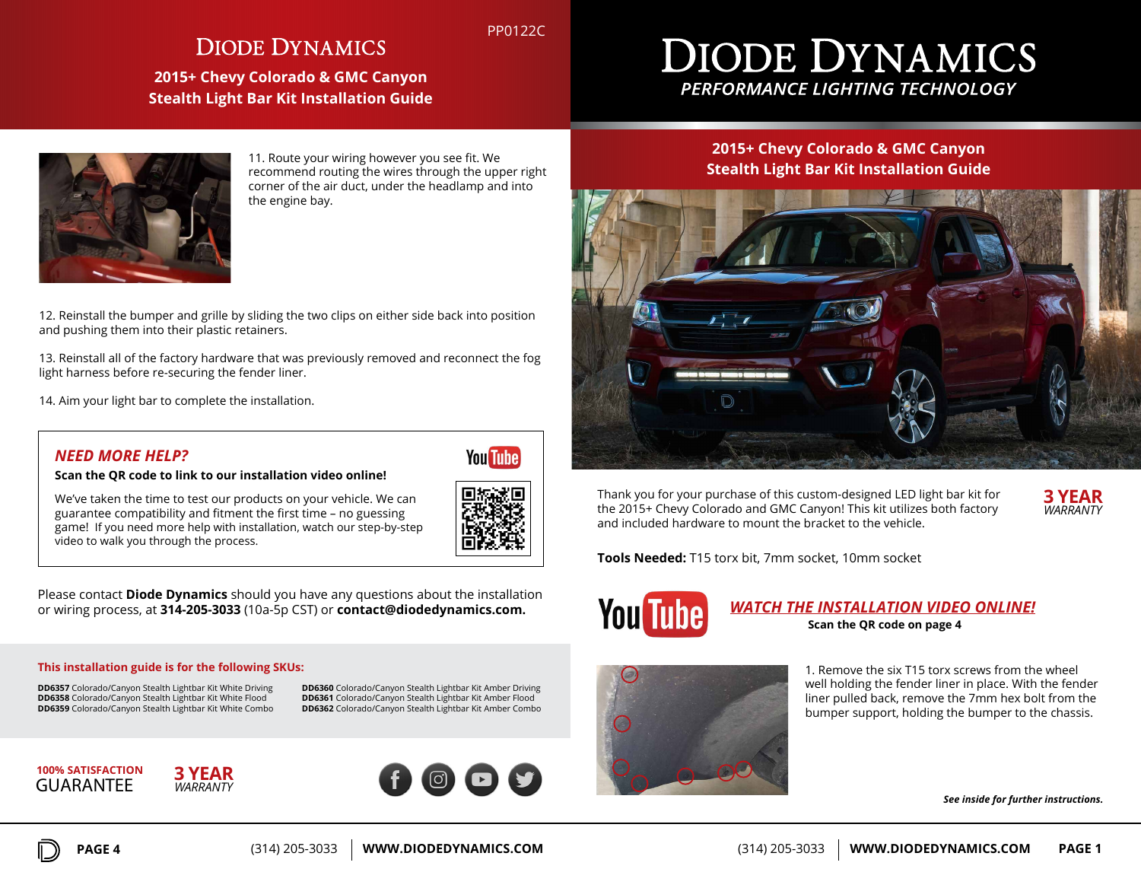## **DIODE DYNAMICS**

**2015+ Chevy Colorado & GMC Canyon Stealth Light Bar Kit Installation Guide**

# **DIODE DYNAMICS** PERFORMANCE LIGHTING TECHNOLOGY



11. Route your wiring however you see fit. We recommend routing the wires through the upper right corner of the air duct, under the headlamp and into the engine bay.

12. Reinstall the bumper and grille by sliding the two clips on either side back into position and pushing them into their plastic retainers.

13. Reinstall all of the factory hardware that was previously removed and reconnect the fog light harness before re-securing the fender liner.

14. Aim your light bar to complete the installation.

## *NEED MORE HELP?*

**Scan the QR code to link to our installation video online!**

We've taken the time to test our products on your vehicle. We can guarantee compatibility and fitment the first time – no guessing game! If you need more help with installation, watch our step-by-step video to walk you through the process.

**You Tube** 

PP0122C

Please contact **Diode Dynamics** should you have any questions about the installation or wiring process, at **314-205-3033** (10a-5p CST) or **contact@diodedynamics.com.**

#### **This installation guide is for the following SKUs:**

**DD6357** Colorado/Canyon Stealth Lightbar Kit White Driving **DD6358** Colorado/Canyon Stealth Lightbar Kit White Flood **DD6359** Colorado/Canyon Stealth Lightbar Kit White Combo **DD6360** Colorado/Canyon Stealth Lightbar Kit Amber Driving **DD6361** Colorado/Canyon Stealth Lightbar Kit Amber Flood **DD6362** Colorado/Canyon Stealth Lightbar Kit Amber Combo

**GUARANTEF 100% SATISFACTION**



## **2015+ Chevy Colorado & GMC Canyon Stealth Light Bar Kit Installation Guide**



Thank you for your purchase of this custom-designed LED light bar kit for the 2015+ Chevy Colorado and GMC Canyon! This kit utilizes both factory and included hardware to mount the bracket to the vehicle.

*WARRANTY* **3 YEAR**

**Tools Needed:** T15 torx bit, 7mm socket, 10mm socket



### *WATCH THE INSTALLATION VIDEO ONLINE!* **Scan the QR code on page 4**



1. Remove the six T15 torx screws from the wheel well holding the fender liner in place. With the fender liner pulled back, remove the 7mm hex bolt from the bumper support, holding the bumper to the chassis.

*See inside for further instructions.*

*WARRANTY* **3 YEAR**

**PAGE 4** (314) 205-3033 **WWW.DIODEDYNAMICS.COM**

(314) 205-3033 **WWW.DIODEDYNAMICS.COM PAGE 1**